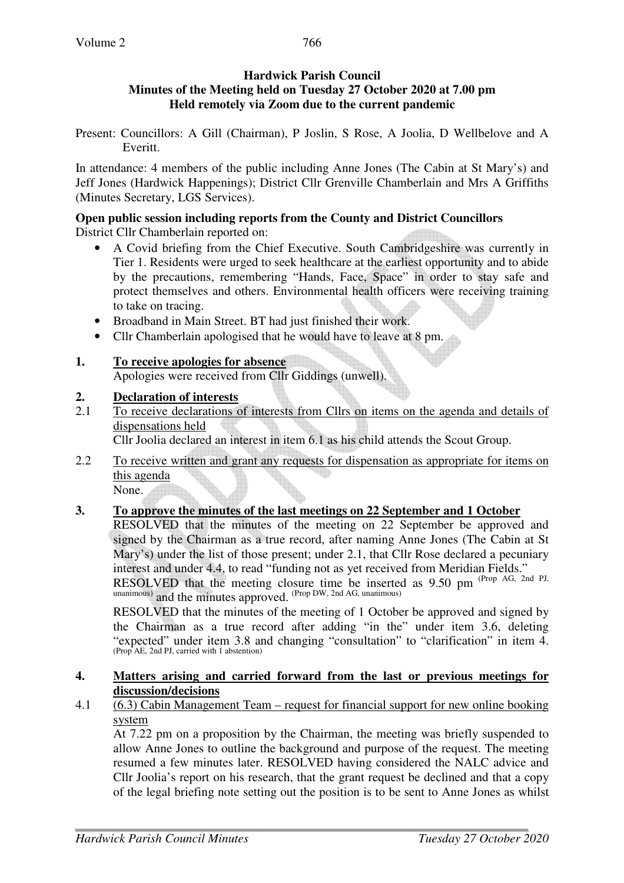## **Hardwick Parish Council Minutes of the Meeting held on Tuesday 27 October 2020 at 7.00 pm Held remotely via Zoom due to the current pandemic**

Present: Councillors: A Gill (Chairman), P Joslin, S Rose, A Joolia, D Wellbelove and A Everitt.

In attendance: 4 members of the public including Anne Jones (The Cabin at St Mary's) and Jeff Jones (Hardwick Happenings); District Cllr Grenville Chamberlain and Mrs A Griffiths (Minutes Secretary, LGS Services).

#### **Open public session including reports from the County and District Councillors**  District Cllr Chamberlain reported on:

- A Covid briefing from the Chief Executive. South Cambridgeshire was currently in Tier 1. Residents were urged to seek healthcare at the earliest opportunity and to abide by the precautions, remembering "Hands, Face, Space" in order to stay safe and protect themselves and others. Environmental health officers were receiving training to take on tracing.
- Broadband in Main Street. BT had just finished their work.
- Cllr Chamberlain apologised that he would have to leave at 8 pm.

# **1. To receive apologies for absence**

Apologies were received from Cllr Giddings (unwell).

# **2. Declaration of interests**

2.1 To receive declarations of interests from Cllrs on items on the agenda and details of dispensations held

Cllr Joolia declared an interest in item 6.1 as his child attends the Scout Group.

2.2 To receive written and grant any requests for dispensation as appropriate for items on this agenda

None.

# **3. To approve the minutes of the last meetings on 22 September and 1 October**

 RESOLVED that the minutes of the meeting on 22 September be approved and signed by the Chairman as a true record, after naming Anne Jones (The Cabin at St Mary's) under the list of those present; under 2.1, that Cllr Rose declared a pecuniary interest and under 4.4, to read "funding not as yet received from Meridian Fields." RESOLVED that the meeting closure time be inserted as  $9.50$  pm <sup>(Prop AG, 2nd PJ,</sup> unanimous) and the minutes approved. (Prop DW, 2nd AG, unanimous)

 RESOLVED that the minutes of the meeting of 1 October be approved and signed by the Chairman as a true record after adding "in the" under item 3.6, deleting "expected" under item 3.8 and changing "consultation" to "clarification" in item 4. (Prop AE, 2nd PJ, carried with 1 abstention)

## **4. Matters arising and carried forward from the last or previous meetings for discussion/decisions**

# 4.1 (6.3) Cabin Management Team – request for financial support for new online booking system

At 7.22 pm on a proposition by the Chairman, the meeting was briefly suspended to allow Anne Jones to outline the background and purpose of the request. The meeting resumed a few minutes later. RESOLVED having considered the NALC advice and Cllr Joolia's report on his research, that the grant request be declined and that a copy of the legal briefing note setting out the position is to be sent to Anne Jones as whilst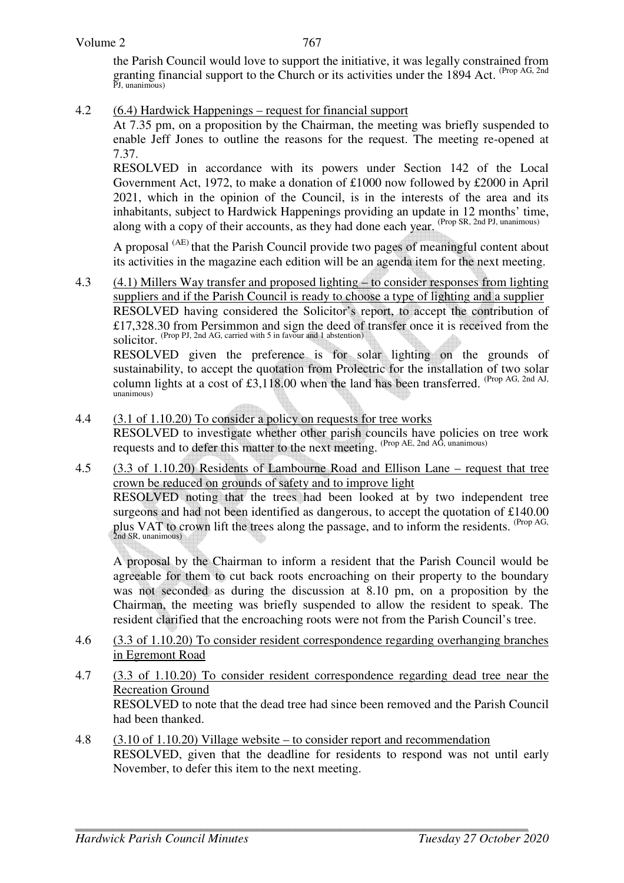#### Volume 2

767

the Parish Council would love to support the initiative, it was legally constrained from granting financial support to the Church or its activities under the 1894 Act. <sup>(Prop AG, 2nd</sup> PJ, unanimous)

4.2 (6.4) Hardwick Happenings – request for financial support

At 7.35 pm, on a proposition by the Chairman, the meeting was briefly suspended to enable Jeff Jones to outline the reasons for the request. The meeting re-opened at 7.37.

RESOLVED in accordance with its powers under Section 142 of the Local Government Act, 1972, to make a donation of £1000 now followed by £2000 in April 2021, which in the opinion of the Council, is in the interests of the area and its inhabitants, subject to Hardwick Happenings providing an update in 12 months' time, along with a copy of their accounts, as they had done each year. (Prop SR, 2nd PJ, unanimous)

A proposal (AE) that the Parish Council provide two pages of meaningful content about its activities in the magazine each edition will be an agenda item for the next meeting.

4.3 (4.1) Millers Way transfer and proposed lighting – to consider responses from lighting suppliers and if the Parish Council is ready to choose a type of lighting and a supplier RESOLVED having considered the Solicitor's report, to accept the contribution of £17,328.30 from Persimmon and sign the deed of transfer once it is received from the solicitor. (Prop PJ, 2nd AG, carried with 5 in favour and 1 abstention)

RESOLVED given the preference is for solar lighting on the grounds of sustainability, to accept the quotation from Prolectric for the installation of two solar column lights at a cost of £3,118.00 when the land has been transferred. (Prop AG, 2nd AJ, unanimous)

- 4.4 (3.1 of 1.10.20) To consider a policy on requests for tree works RESOLVED to investigate whether other parish councils have policies on tree work requests and to defer this matter to the next meeting. (Prop AE, 2nd AG, unanimous)
- 4.5 (3.3 of 1.10.20) Residents of Lambourne Road and Ellison Lane request that tree crown be reduced on grounds of safety and to improve light RESOLVED noting that the trees had been looked at by two independent tree surgeons and had not been identified as dangerous, to accept the quotation of £140.00 plus VAT to crown lift the trees along the passage, and to inform the residents. <sup>(Prop AG, 2nd SR, unanimous)</sup>

A proposal by the Chairman to inform a resident that the Parish Council would be agreeable for them to cut back roots encroaching on their property to the boundary was not seconded as during the discussion at 8.10 pm, on a proposition by the Chairman, the meeting was briefly suspended to allow the resident to speak. The resident clarified that the encroaching roots were not from the Parish Council's tree.

- 4.6 (3.3 of 1.10.20) To consider resident correspondence regarding overhanging branches in Egremont Road
- 4.7 (3.3 of 1.10.20) To consider resident correspondence regarding dead tree near the Recreation Ground RESOLVED to note that the dead tree had since been removed and the Parish Council had been thanked.
- 4.8 (3.10 of 1.10.20) Village website to consider report and recommendation RESOLVED, given that the deadline for residents to respond was not until early November, to defer this item to the next meeting.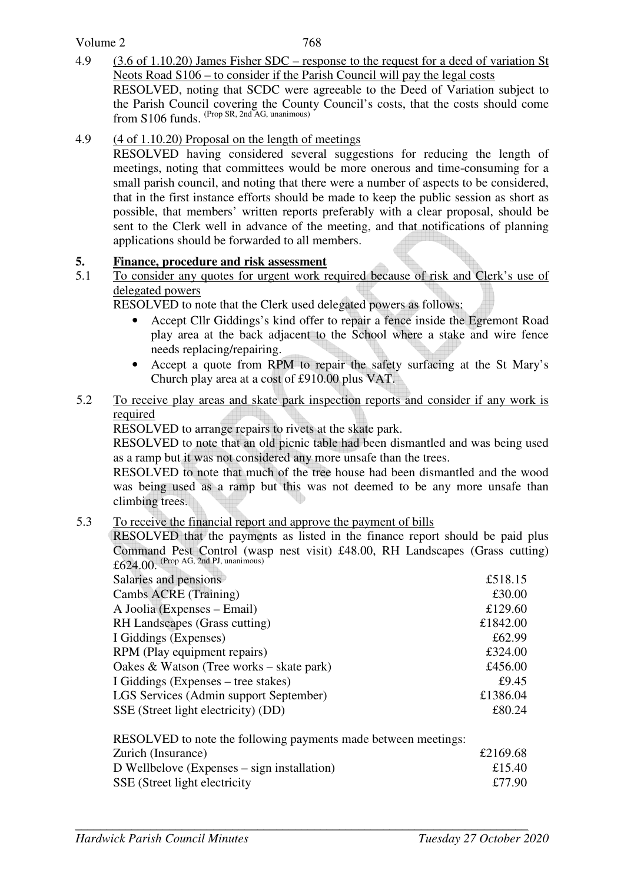Volume 2

4.9 (3.6 of 1.10.20) James Fisher SDC – response to the request for a deed of variation St Neots Road S106 – to consider if the Parish Council will pay the legal costs RESOLVED, noting that SCDC were agreeable to the Deed of Variation subject to the Parish Council covering the County Council's costs, that the costs should come from S106 funds. (Prop SR, 2nd AG, unanimous)

## 4.9 (4 of 1.10.20) Proposal on the length of meetings

RESOLVED having considered several suggestions for reducing the length of meetings, noting that committees would be more onerous and time-consuming for a small parish council, and noting that there were a number of aspects to be considered, that in the first instance efforts should be made to keep the public session as short as possible, that members' written reports preferably with a clear proposal, should be sent to the Clerk well in advance of the meeting, and that notifications of planning applications should be forwarded to all members.

## **5. Finance, procedure and risk assessment**

5.1 To consider any quotes for urgent work required because of risk and Clerk's use of delegated powers

RESOLVED to note that the Clerk used delegated powers as follows:

- Accept Cllr Giddings's kind offer to repair a fence inside the Egremont Road play area at the back adjacent to the School where a stake and wire fence needs replacing/repairing.
- Accept a quote from RPM to repair the safety surfacing at the St Mary's Church play area at a cost of £910.00 plus VAT.
- 5.2 To receive play areas and skate park inspection reports and consider if any work is required

RESOLVED to arrange repairs to rivets at the skate park.

RESOLVED to note that an old picnic table had been dismantled and was being used as a ramp but it was not considered any more unsafe than the trees.

RESOLVED to note that much of the tree house had been dismantled and the wood was being used as a ramp but this was not deemed to be any more unsafe than climbing trees.

5.3 To receive the financial report and approve the payment of bills

RESOLVED that the payments as listed in the finance report should be paid plus Command Pest Control (wasp nest visit) £48.00, RH Landscapes (Grass cutting)  $£624.00.$  (Prop AG, 2nd PJ, unanimous)

| Salaries and pensions                    | £518.15  |
|------------------------------------------|----------|
| Cambs ACRE (Training)                    | £30.00   |
| A Joolia (Expenses – Email)              | £129.60  |
| RH Landscapes (Grass cutting)            | £1842.00 |
| I Giddings (Expenses)                    | £62.99   |
| RPM (Play equipment repairs)             | £324.00  |
| Oakes & Watson (Tree works – skate park) | £456.00  |
| I Giddings (Expenses – tree stakes)      | £9.45    |
| LGS Services (Admin support September)   | £1386.04 |
| SSE (Street light electricity) (DD)      | £80.24   |
|                                          |          |

| RESOLVED to note the following payments made between meetings: |          |
|----------------------------------------------------------------|----------|
| Zurich (Insurance)                                             | £2169.68 |
| D Wellbelove (Expenses $-$ sign installation)                  | £15.40   |
| SSE (Street light electricity)                                 | £77.90   |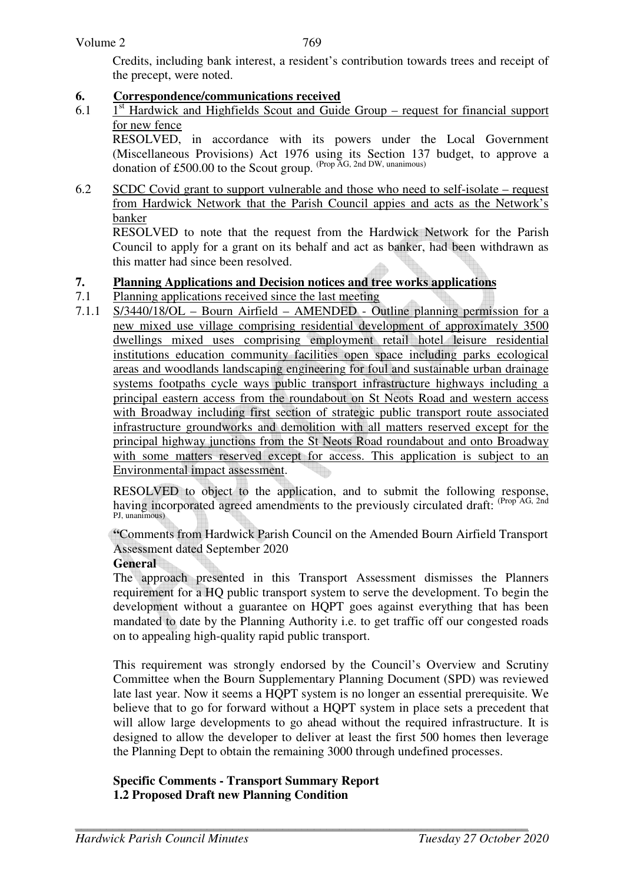769

 Credits, including bank interest, a resident's contribution towards trees and receipt of the precept, were noted.

## **6. Correspondence/communications received**

6.1  $1<sup>st</sup>$  Hardwick and Highfields Scout and Guide Group – request for financial support for new fence

 RESOLVED, in accordance with its powers under the Local Government (Miscellaneous Provisions) Act 1976 using its Section 137 budget, to approve a donation of £500.00 to the Scout group. (Prop AG, 2nd DW, unanimous)

6.2 SCDC Covid grant to support vulnerable and those who need to self-isolate – request from Hardwick Network that the Parish Council appies and acts as the Network's banker

 RESOLVED to note that the request from the Hardwick Network for the Parish Council to apply for a grant on its behalf and act as banker, had been withdrawn as this matter had since been resolved.

## **7. Planning Applications and Decision notices and tree works applications**

- 7.1 Planning applications received since the last meeting
- 7.1.1 S/3440/18/OL Bourn Airfield AMENDED Outline planning permission for a new mixed use village comprising residential development of approximately 3500 dwellings mixed uses comprising employment retail hotel leisure residential institutions education community facilities open space including parks ecological areas and woodlands landscaping engineering for foul and sustainable urban drainage systems footpaths cycle ways public transport infrastructure highways including a principal eastern access from the roundabout on St Neots Road and western access with Broadway including first section of strategic public transport route associated infrastructure groundworks and demolition with all matters reserved except for the principal highway junctions from the St Neots Road roundabout and onto Broadway with some matters reserved except for access. This application is subject to an Environmental impact assessment.

 RESOLVED to object to the application, and to submit the following response, having incorporated agreed amendments to the previously circulated draft: (Prop AG, 2nd) PJ, unanimous)

**"**Comments from Hardwick Parish Council on the Amended Bourn Airfield Transport Assessment dated September 2020

#### **General**

The approach presented in this Transport Assessment dismisses the Planners requirement for a HQ public transport system to serve the development. To begin the development without a guarantee on HQPT goes against everything that has been mandated to date by the Planning Authority i.e. to get traffic off our congested roads on to appealing high-quality rapid public transport.

This requirement was strongly endorsed by the Council's Overview and Scrutiny Committee when the Bourn Supplementary Planning Document (SPD) was reviewed late last year. Now it seems a HQPT system is no longer an essential prerequisite. We believe that to go for forward without a HQPT system in place sets a precedent that will allow large developments to go ahead without the required infrastructure. It is designed to allow the developer to deliver at least the first 500 homes then leverage the Planning Dept to obtain the remaining 3000 through undefined processes.

## **Specific Comments - Transport Summary Report 1.2 Proposed Draft new Planning Condition**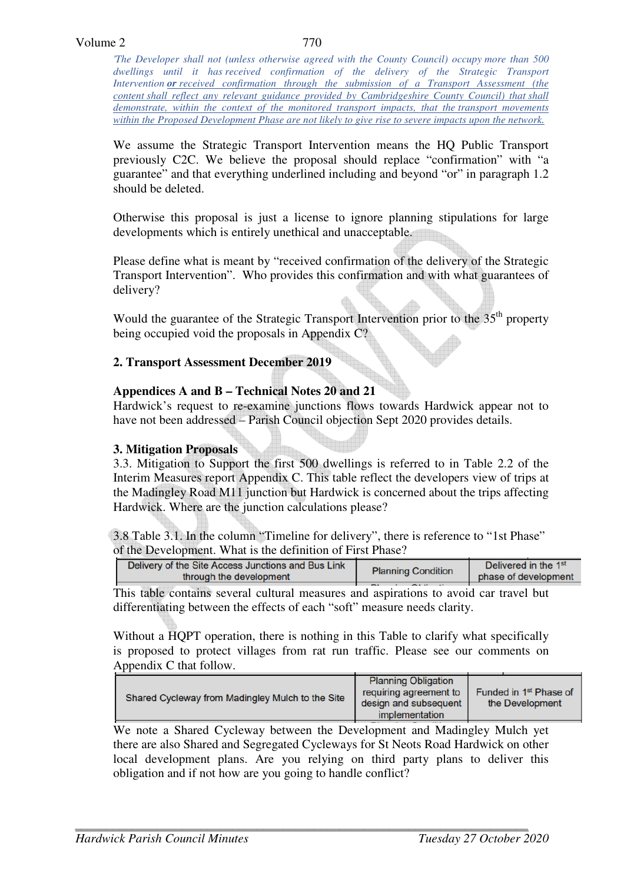*'The Developer shall not (unless otherwise agreed with the County Council) occupy more than 500 dwellings until it has received confirmation of the delivery of the Strategic Transport Intervention or received confirmation through the submission of a Transport Assessment (the content shall reflect any relevant guidance provided by Cambridgeshire County Council) that shall demonstrate, within the context of the monitored transport impacts, that the transport movements within the Proposed Development Phase are not likely to give rise to severe impacts upon the network.*

We assume the Strategic Transport Intervention means the HQ Public Transport previously C2C. We believe the proposal should replace "confirmation" with "a guarantee" and that everything underlined including and beyond "or" in paragraph 1.2 should be deleted.

Otherwise this proposal is just a license to ignore planning stipulations for large developments which is entirely unethical and unacceptable.

Please define what is meant by "received confirmation of the delivery of the Strategic Transport Intervention". Who provides this confirmation and with what guarantees of delivery?

Would the guarantee of the Strategic Transport Intervention prior to the 35<sup>th</sup> property being occupied void the proposals in Appendix C?

#### **2. Transport Assessment December 2019**

#### **Appendices A and B – Technical Notes 20 and 21**

Hardwick's request to re-examine junctions flows towards Hardwick appear not to have not been addressed – Parish Council objection Sept 2020 provides details.

#### **3. Mitigation Proposals**

3.3. Mitigation to Support the first 500 dwellings is referred to in Table 2.2 of the Interim Measures report Appendix C. This table reflect the developers view of trips at the Madingley Road M11 junction but Hardwick is concerned about the trips affecting Hardwick. Where are the junction calculations please?

3.8 Table 3.1. In the column "Timeline for delivery", there is reference to "1st Phase" of the Development. What is the definition of First Phase?

| Delivery of the Site Access Junctions and Bus Link | <b>Planning Condition</b> | Delivered in the 1 <sup>st</sup> |
|----------------------------------------------------|---------------------------|----------------------------------|
| through the development                            |                           | phase of development             |
|                                                    |                           |                                  |

This table contains several cultural measures and aspirations to avoid car travel but differentiating between the effects of each "soft" measure needs clarity.

Without a HQPT operation, there is nothing in this Table to clarify what specifically is proposed to protect villages from rat run traffic. Please see our comments on Appendix C that follow.

| Shared Cycleway from Madingley Mulch to the Site | <b>Planning Obligation</b>                      |                                                       |
|--------------------------------------------------|-------------------------------------------------|-------------------------------------------------------|
|                                                  | requiring agreement to<br>design and subsequent | Funded in 1 <sup>st</sup> Phase of<br>the Development |
|                                                  | implementation                                  |                                                       |
|                                                  |                                                 |                                                       |

We note a Shared Cycleway between the Development and Madingley Mulch yet there are also Shared and Segregated Cycleways for St Neots Road Hardwick on other local development plans. Are you relying on third party plans to deliver this obligation and if not how are you going to handle conflict?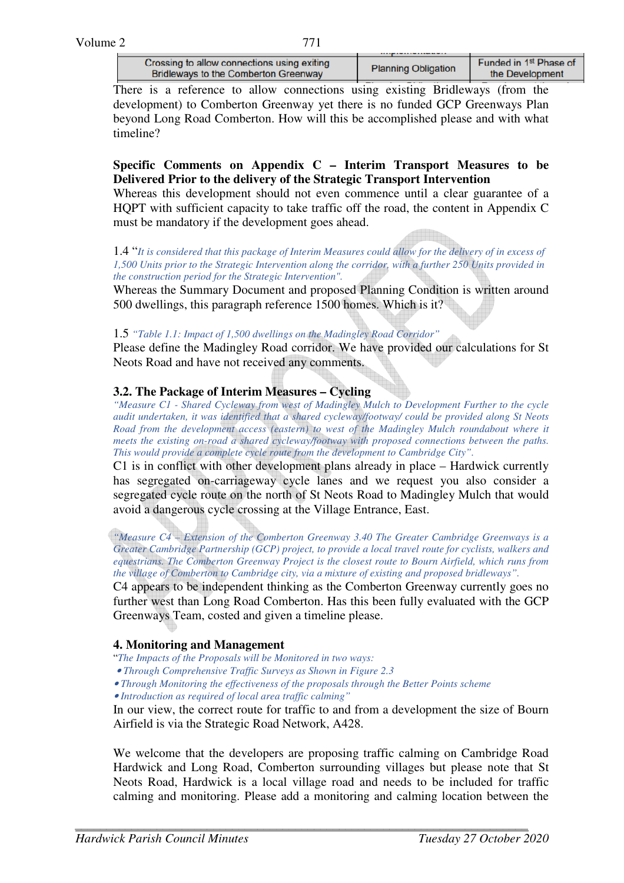| Crossing to allow connections using exiting<br><b>Bridleways to the Comberton Greenway</b> | <b>Planning Obligation</b> | Funded in 1 <sup>st</sup> Phase of<br>the Development |
|--------------------------------------------------------------------------------------------|----------------------------|-------------------------------------------------------|
|                                                                                            |                            |                                                       |

There is a reference to allow connections using existing Bridleways (from the development) to Comberton Greenway yet there is no funded GCP Greenways Plan beyond Long Road Comberton. How will this be accomplished please and with what timeline?

## **Specific Comments on Appendix C – Interim Transport Measures to be Delivered Prior to the delivery of the Strategic Transport Intervention**

Whereas this development should not even commence until a clear guarantee of a HQPT with sufficient capacity to take traffic off the road, the content in Appendix C must be mandatory if the development goes ahead.

1.4 "*It is considered that this package of Interim Measures could allow for the delivery of in excess of 1,500 Units prior to the Strategic Intervention along the corridor, with a further 250 Units provided in the construction period for the Strategic Intervention".*

Whereas the Summary Document and proposed Planning Condition is written around 500 dwellings, this paragraph reference 1500 homes. Which is it?

#### 1.5 *"Table 1.1: Impact of 1,500 dwellings on the Madingley Road Corridor"*

Please define the Madingley Road corridor. We have provided our calculations for St Neots Road and have not received any comments.

#### **3.2. The Package of Interim Measures – Cycling**

*"Measure C1 - Shared Cycleway from west of Madingley Mulch to Development Further to the cycle audit undertaken, it was identified that a shared cycleway/footway/ could be provided along St Neots Road from the development access (eastern) to west of the Madingley Mulch roundabout where it meets the existing on-road a shared cycleway/footway with proposed connections between the paths. This would provide a complete cycle route from the development to Cambridge City".* 

C1 is in conflict with other development plans already in place – Hardwick currently has segregated on-carriageway cycle lanes and we request you also consider a segregated cycle route on the north of St Neots Road to Madingley Mulch that would avoid a dangerous cycle crossing at the Village Entrance, East.

*"Measure C4 – Extension of the Comberton Greenway 3.40 The Greater Cambridge Greenways is a Greater Cambridge Partnership (GCP) project, to provide a local travel route for cyclists, walkers and equestrians. The Comberton Greenway Project is the closest route to Bourn Airfield, which runs from the village of Comberton to Cambridge city, via a mixture of existing and proposed bridleways".*

C4 appears to be independent thinking as the Comberton Greenway currently goes no further west than Long Road Comberton. Has this been fully evaluated with the GCP Greenways Team, costed and given a timeline please.

#### **4. Monitoring and Management**

- "*The Impacts of the Proposals will be Monitored in two ways:*
- • *Through Comprehensive Traffic Surveys as Shown in Figure 2.3*

• *Through Monitoring the effectiveness of the proposals through the Better Points scheme* 

• *Introduction as required of local area traffic calming"* 

In our view, the correct route for traffic to and from a development the size of Bourn Airfield is via the Strategic Road Network, A428.

We welcome that the developers are proposing traffic calming on Cambridge Road Hardwick and Long Road, Comberton surrounding villages but please note that St Neots Road, Hardwick is a local village road and needs to be included for traffic calming and monitoring. Please add a monitoring and calming location between the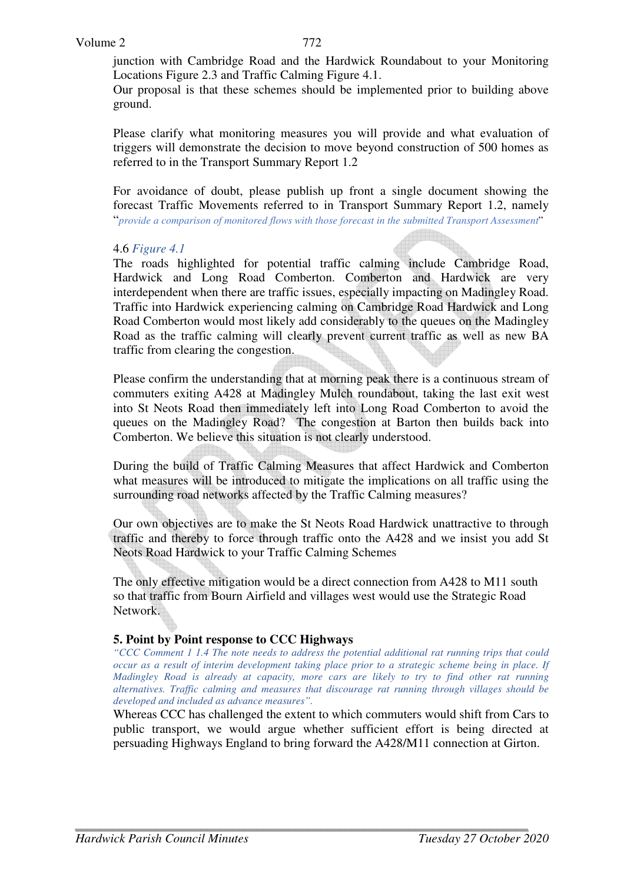junction with Cambridge Road and the Hardwick Roundabout to your Monitoring Locations Figure 2.3 and Traffic Calming Figure 4.1.

Our proposal is that these schemes should be implemented prior to building above ground.

Please clarify what monitoring measures you will provide and what evaluation of triggers will demonstrate the decision to move beyond construction of 500 homes as referred to in the Transport Summary Report 1.2

For avoidance of doubt, please publish up front a single document showing the forecast Traffic Movements referred to in Transport Summary Report 1.2, namely "*provide a comparison of monitored flows with those forecast in the submitted Transport Assessment*"

#### 4.6 *Figure 4.1*

The roads highlighted for potential traffic calming include Cambridge Road, Hardwick and Long Road Comberton. Comberton and Hardwick are very interdependent when there are traffic issues, especially impacting on Madingley Road. Traffic into Hardwick experiencing calming on Cambridge Road Hardwick and Long Road Comberton would most likely add considerably to the queues on the Madingley Road as the traffic calming will clearly prevent current traffic as well as new BA traffic from clearing the congestion.

Please confirm the understanding that at morning peak there is a continuous stream of commuters exiting A428 at Madingley Mulch roundabout, taking the last exit west into St Neots Road then immediately left into Long Road Comberton to avoid the queues on the Madingley Road? The congestion at Barton then builds back into Comberton. We believe this situation is not clearly understood.

During the build of Traffic Calming Measures that affect Hardwick and Comberton what measures will be introduced to mitigate the implications on all traffic using the surrounding road networks affected by the Traffic Calming measures?

Our own objectives are to make the St Neots Road Hardwick unattractive to through traffic and thereby to force through traffic onto the A428 and we insist you add St Neots Road Hardwick to your Traffic Calming Schemes

The only effective mitigation would be a direct connection from A428 to M11 south so that traffic from Bourn Airfield and villages west would use the Strategic Road Network.

#### **5. Point by Point response to CCC Highways**

*"CCC Comment 1 1.4 The note needs to address the potential additional rat running trips that could occur as a result of interim development taking place prior to a strategic scheme being in place. If Madingley Road is already at capacity, more cars are likely to try to find other rat running alternatives. Traffic calming and measures that discourage rat running through villages should be developed and included as advance measures".* 

Whereas CCC has challenged the extent to which commuters would shift from Cars to public transport, we would argue whether sufficient effort is being directed at persuading Highways England to bring forward the A428/M11 connection at Girton.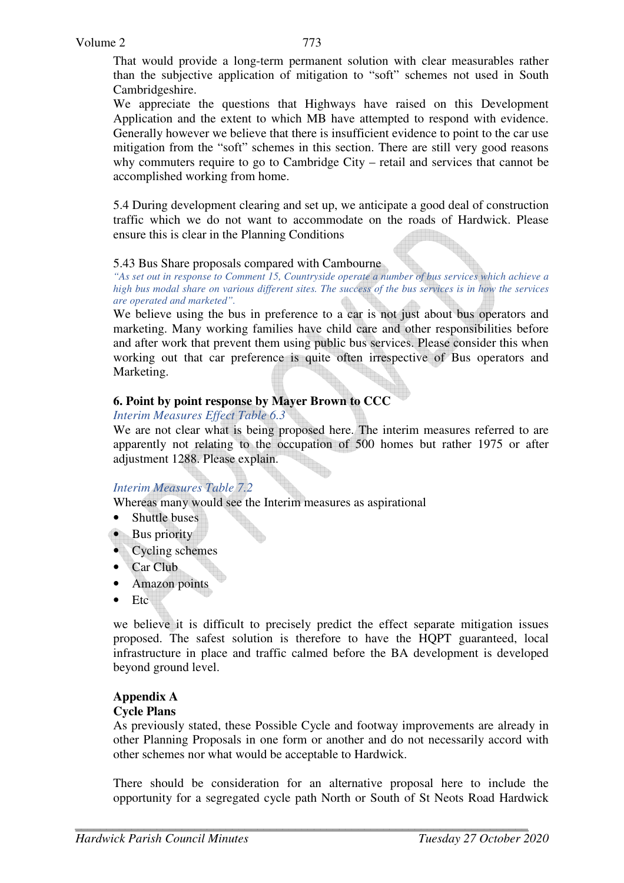That would provide a long-term permanent solution with clear measurables rather than the subjective application of mitigation to "soft" schemes not used in South Cambridgeshire.

We appreciate the questions that Highways have raised on this Development Application and the extent to which MB have attempted to respond with evidence. Generally however we believe that there is insufficient evidence to point to the car use mitigation from the "soft" schemes in this section. There are still very good reasons why commuters require to go to Cambridge City – retail and services that cannot be accomplished working from home.

5.4 During development clearing and set up, we anticipate a good deal of construction traffic which we do not want to accommodate on the roads of Hardwick. Please ensure this is clear in the Planning Conditions

#### 5.43 Bus Share proposals compared with Cambourne

*"As set out in response to Comment 15, Countryside operate a number of bus services which achieve a high bus modal share on various different sites. The success of the bus services is in how the services are operated and marketed".* 

We believe using the bus in preference to a car is not just about bus operators and marketing. Many working families have child care and other responsibilities before and after work that prevent them using public bus services. Please consider this when working out that car preference is quite often irrespective of Bus operators and Marketing.

#### **6. Point by point response by Mayer Brown to CCC**

#### *Interim Measures Effect Table 6.3*

We are not clear what is being proposed here. The interim measures referred to are apparently not relating to the occupation of 500 homes but rather 1975 or after adjustment 1288. Please explain.

#### *Interim Measures Table 7.2*

Whereas many would see the Interim measures as aspirational

- Shuttle buses
- Bus priority
- Cycling schemes
- Car Club
- Amazon points
- Etc

we believe it is difficult to precisely predict the effect separate mitigation issues proposed. The safest solution is therefore to have the HQPT guaranteed, local infrastructure in place and traffic calmed before the BA development is developed beyond ground level.

#### **Appendix A**

#### **Cycle Plans**

As previously stated, these Possible Cycle and footway improvements are already in other Planning Proposals in one form or another and do not necessarily accord with other schemes nor what would be acceptable to Hardwick.

There should be consideration for an alternative proposal here to include the opportunity for a segregated cycle path North or South of St Neots Road Hardwick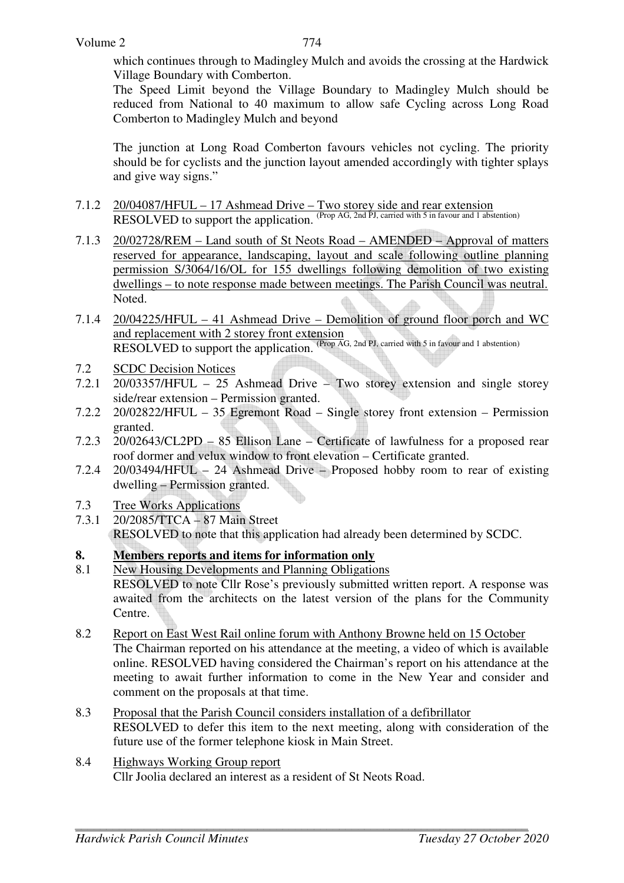which continues through to Madingley Mulch and avoids the crossing at the Hardwick Village Boundary with Comberton.

The Speed Limit beyond the Village Boundary to Madingley Mulch should be reduced from National to 40 maximum to allow safe Cycling across Long Road Comberton to Madingley Mulch and beyond

The junction at Long Road Comberton favours vehicles not cycling. The priority should be for cyclists and the junction layout amended accordingly with tighter splays and give way signs."

- 7.1.2 20/04087/HFUL 17 Ashmead Drive Two storey side and rear extension RESOLVED to support the application. <sup>(Prop AG, 2nd PJ, carried with 5 in favour and 1 abstention)</sup>
- 7.1.3 20/02728/REM Land south of St Neots Road AMENDED Approval of matters reserved for appearance, landscaping, layout and scale following outline planning permission S/3064/16/OL for 155 dwellings following demolition of two existing dwellings – to note response made between meetings. The Parish Council was neutral. Noted.
- 7.1.4 20/04225/HFUL 41 Ashmead Drive Demolition of ground floor porch and WC and replacement with 2 storey front extension RESOLVED to support the application. (Prop AG, 2nd PJ, carried with 5 in favour and 1 abstention)
- 7.2 SCDC Decision Notices
- 7.2.1 20/03357/HFUL 25 Ashmead Drive Two storey extension and single storey side/rear extension – Permission granted.
- 7.2.2 20/02822/HFUL 35 Egremont Road Single storey front extension Permission granted.
- 7.2.3 20/02643/CL2PD 85 Ellison Lane Certificate of lawfulness for a proposed rear roof dormer and velux window to front elevation – Certificate granted.
- 7.2.4 20/03494/HFUL 24 Ashmead Drive Proposed hobby room to rear of existing dwelling – Permission granted.
- 7.3 Tree Works Applications
- 7.3.1 20/2085/TTCA 87 Main Street RESOLVED to note that this application had already been determined by SCDC.

## **8. Members reports and items for information only**

- 8.1 New Housing Developments and Planning Obligations RESOLVED to note Cllr Rose's previously submitted written report. A response was awaited from the architects on the latest version of the plans for the Community Centre.
- 8.2 Report on East West Rail online forum with Anthony Browne held on 15 October The Chairman reported on his attendance at the meeting, a video of which is available online. RESOLVED having considered the Chairman's report on his attendance at the meeting to await further information to come in the New Year and consider and comment on the proposals at that time.
- 8.3 Proposal that the Parish Council considers installation of a defibrillator RESOLVED to defer this item to the next meeting, along with consideration of the future use of the former telephone kiosk in Main Street.
- 8.4 Highways Working Group report Cllr Joolia declared an interest as a resident of St Neots Road.